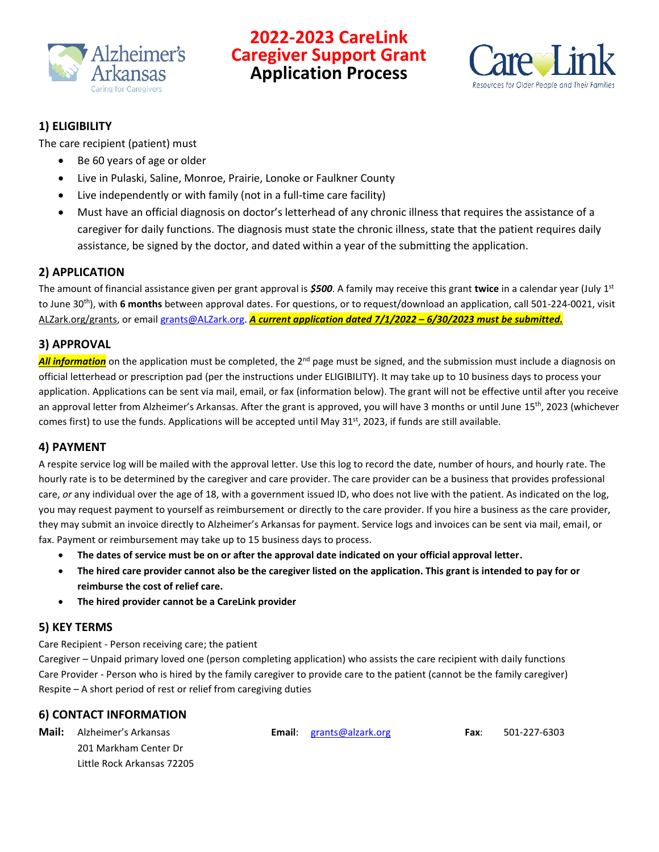

## **2022-2023 CareLink Caregiver Support Grant Application Process**



## **1) ELIGIBILITY**

The care recipient (patient) must

- Be 60 years of age or older
- Live in Pulaski, Saline, Monroe, Prairie, Lonoke or Faulkner County
- Live independently or with family (not in a full-time care facility)
- Must have an official diagnosis on doctor's letterhead of any chronic illness that requires the assistance of a caregiver for daily functions. The diagnosis must state the chronic illness, state that the patient requires daily assistance, be signed by the doctor, and dated within a year of the submitting the application.

## **2) APPLICATION**

The amount of financial assistance given per grant approval is *\$500*. A family may receive this grant **twice** in a calendar year (July 1 st to June 30<sup>th</sup>), with 6 months between approval dates. For questions, or to request/download an application, call 501-224-0021, visit ALZark.org/grants, or email [grants@ALZark.org.](mailto:grants@ALZark.org) *A current application dated 7/1/2022 – 6/30/2023 must be submitted.*

## **3) APPROVAL**

**All information** on the application must be completed, the 2<sup>nd</sup> page must be signed, and the submission must include a diagnosis on official letterhead or prescription pad (per the instructions under ELIGIBILITY). It may take up to 10 business days to process your application. Applications can be sent via mail, email, or fax (information below). The grant will not be effective until after you receive an approval letter from Alzheimer's Arkansas. After the grant is approved, you will have 3 months or until June 15<sup>th</sup>, 2023 (whichever comes first) to use the funds. Applications will be accepted until May  $31<sup>st</sup>$ , 2023, if funds are still available.

## **4) PAYMENT**

A respite service log will be mailed with the approval letter. Use this log to record the date, number of hours, and hourly rate. The hourly rate is to be determined by the caregiver and care provider. The care provider can be a business that provides professional care, *or* any individual over the age of 18, with a government issued ID, who does not live with the patient. As indicated on the log, you may request payment to yourself as reimbursement or directly to the care provider. If you hire a business as the care provider, they may submit an invoice directly to Alzheimer's Arkansas for payment. Service logs and invoices can be sent via mail, email, or fax. Payment or reimbursement may take up to 15 business days to process.

- **The dates of service must be on or after the approval date indicated on your official approval letter.**
- **The hired care provider cannot also be the caregiver listed on the application. This grant is intended to pay for or reimburse the cost of relief care.**
- **The hired provider cannot be a CareLink provider**

## **5) KEY TERMS**

Care Recipient - Person receiving care; the patient

Caregiver – Unpaid primary loved one (person completing application) who assists the care recipient with daily functions Care Provider - Person who is hired by the family caregiver to provide care to the patient (cannot be the family caregiver) Respite – A short period of rest or relief from caregiving duties

## **6) CONTACT INFORMATION**

| Mail: | Alzheimer's Arkansas       | <b>Email:</b> $grants@alzark.org$ | Fax: | 501-227-6303 |
|-------|----------------------------|-----------------------------------|------|--------------|
|       | 201 Markham Center Dr      |                                   |      |              |
|       | Little Rock Arkansas 72205 |                                   |      |              |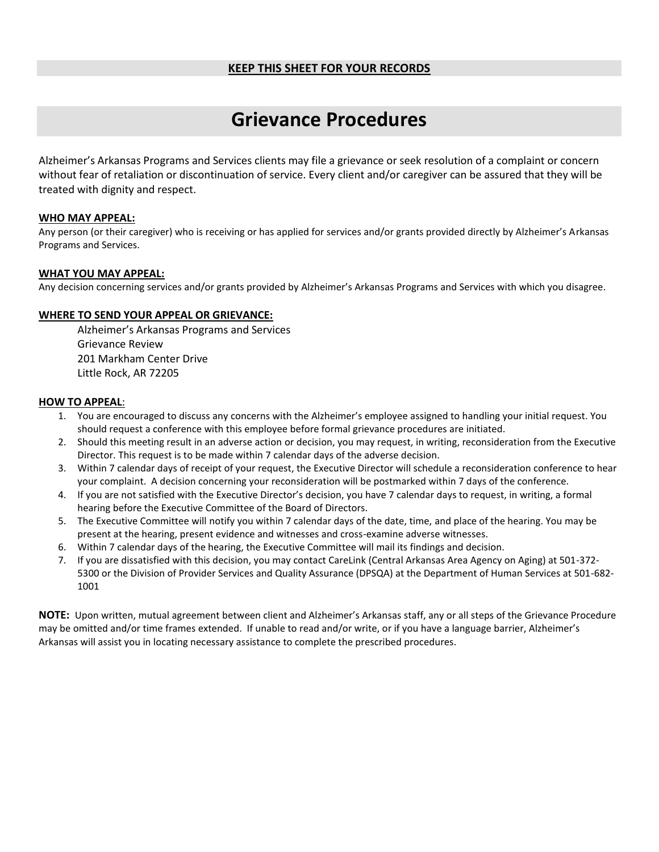### **KEEP THIS SHEET FOR YOUR RECORDS**

# **Grievance Procedures**

Alzheimer's Arkansas Programs and Services clients may file a grievance or seek resolution of a complaint or concern without fear of retaliation or discontinuation of service. Every client and/or caregiver can be assured that they will be treated with dignity and respect.

### **WHO MAY APPEAL:**

Any person (or their caregiver) who is receiving or has applied for services and/or grants provided directly by Alzheimer's Arkansas Programs and Services.

### **WHAT YOU MAY APPEAL:**

Any decision concerning services and/or grants provided by Alzheimer's Arkansas Programs and Services with which you disagree.

### **WHERE TO SEND YOUR APPEAL OR GRIEVANCE:**

Alzheimer's Arkansas Programs and Services Grievance Review 201 Markham Center Drive Little Rock, AR 72205

### **HOW TO APPEAL**:

- 1. You are encouraged to discuss any concerns with the Alzheimer's employee assigned to handling your initial request. You should request a conference with this employee before formal grievance procedures are initiated.
- 2. Should this meeting result in an adverse action or decision, you may request, in writing, reconsideration from the Executive Director. This request is to be made within 7 calendar days of the adverse decision.
- 3. Within 7 calendar days of receipt of your request, the Executive Director will schedule a reconsideration conference to hear your complaint. A decision concerning your reconsideration will be postmarked within 7 days of the conference.
- 4. If you are not satisfied with the Executive Director's decision, you have 7 calendar days to request, in writing, a formal hearing before the Executive Committee of the Board of Directors.
- 5. The Executive Committee will notify you within 7 calendar days of the date, time, and place of the hearing. You may be present at the hearing, present evidence and witnesses and cross-examine adverse witnesses.
- 6. Within 7 calendar days of the hearing, the Executive Committee will mail its findings and decision.
- 7. If you are dissatisfied with this decision, you may contact CareLink (Central Arkansas Area Agency on Aging) at 501-372- 5300 or the Division of Provider Services and Quality Assurance (DPSQA) at the Department of Human Services at 501-682- 1001

**NOTE:** Upon written, mutual agreement between client and Alzheimer's Arkansas staff, any or all steps of the Grievance Procedure may be omitted and/or time frames extended. If unable to read and/or write, or if you have a language barrier, Alzheimer's Arkansas will assist you in locating necessary assistance to complete the prescribed procedures*.*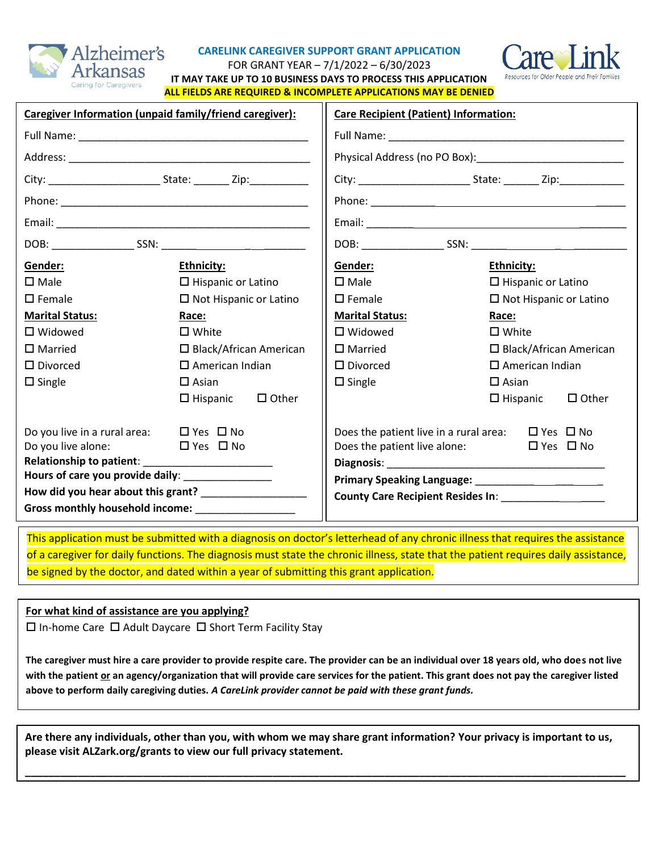

### **CARELINK CAREGIVER SUPPORT GRANT APPLICATION**



FOR GRANT YEAR – 7/1/2022 – 6/30/2023

**IT MAY TAKE UP TO 10 BUSINESS DAYS TO PROCESS THIS APPLICATION ALL FIELDS ARE REQUIRED & INCOMPLETE APPLICATIONS MAY BE DENIED**

| Caregiver Information (unpaid family/friend caregiver):   | <b>Care Recipient (Patient) Information:</b> |                                                             |                               |                               |              |
|-----------------------------------------------------------|----------------------------------------------|-------------------------------------------------------------|-------------------------------|-------------------------------|--------------|
|                                                           |                                              |                                                             |                               |                               |              |
|                                                           |                                              |                                                             |                               |                               |              |
|                                                           |                                              |                                                             |                               |                               |              |
|                                                           |                                              |                                                             |                               |                               |              |
|                                                           |                                              |                                                             |                               |                               |              |
|                                                           |                                              |                                                             |                               |                               |              |
| Gender:                                                   | <b>Ethnicity:</b>                            | Gender:                                                     | Ethnicity:                    |                               |              |
| $\square$ Male                                            | $\Box$ Hispanic or Latino                    | $\square$ Male                                              |                               | $\Box$ Hispanic or Latino     |              |
| $\square$ Female                                          | $\Box$ Not Hispanic or Latino                | $\square$ Female                                            | $\Box$ Not Hispanic or Latino |                               |              |
| <b>Marital Status:</b>                                    | Race:                                        | <b>Marital Status:</b>                                      |                               | Race:                         |              |
| $\Box$ Widowed                                            | $\square$ White                              | $\square$ Widowed                                           |                               | $\square$ White               |              |
| $\square$ Married                                         | $\Box$ Black/African American                | $\square$ Married                                           |                               | $\Box$ Black/African American |              |
| $\square$ Divorced                                        | $\Box$ American Indian                       | $\square$ Divorced                                          | $\square$ American Indian     |                               |              |
| $\square$ Single                                          | $\Box$ Asian                                 | $\square$ Single                                            | $\square$ Asian               |                               |              |
|                                                           | $\square$ Other<br>$\square$ Hispanic        |                                                             |                               | $\square$ Hispanic            | $\Box$ Other |
| Do you live in a rural area: $\Box$ Yes $\Box$ No         |                                              | Does the patient live in a rural area: $\Box$ Yes $\Box$ No |                               |                               |              |
| Do you live alone: $\Box$ Yes $\Box$ No                   |                                              | Does the patient live alone:                                |                               | $\Box$ Yes $\Box$ No          |              |
|                                                           |                                              |                                                             |                               |                               |              |
| Hours of care you provide daily: _________________        |                                              |                                                             |                               |                               |              |
| How did you hear about this grant? ____________________   |                                              |                                                             |                               |                               |              |
| Gross monthly household income: North Management Contains |                                              |                                                             |                               |                               |              |

This application must be submitted with a diagnosis on doctor's letterhead of any chronic illness that requires the assistance of a caregiver for daily functions. The diagnosis must state the chronic illness, state that the patient requires daily assistance, be signed by the doctor, and dated within a year of submitting this grant application.

### **For what kind of assistance are you applying?**

 $\Box$  In-home Care  $\Box$  Adult Daycare  $\Box$  Short Term Facility Stay

**The caregiver must hire a care provider to provide respite care. The provider can be an individual over 18 years old, who does not live with the patient or an agency/organization that will provide care services for the patient. This grant does not pay the caregiver listed above to perform daily caregiving duties.** *A CareLink provider cannot be paid with these grant funds.*

**Are there any individuals, other than you, with whom we may share grant information? Your privacy is important to us, please visit ALZark.org/grants to view our full privacy statement.**

**\_\_\_\_\_\_\_\_\_\_\_\_\_\_\_\_\_\_\_\_\_\_\_\_\_\_\_\_\_\_\_\_\_\_\_\_\_\_\_\_\_\_\_\_\_\_\_\_\_\_\_\_\_\_\_\_\_\_\_\_\_\_\_\_\_\_\_\_\_\_\_\_\_\_\_\_\_\_\_\_\_\_\_\_\_\_\_\_\_\_\_\_\_\_\_\_\_\_\_\_\_\_**